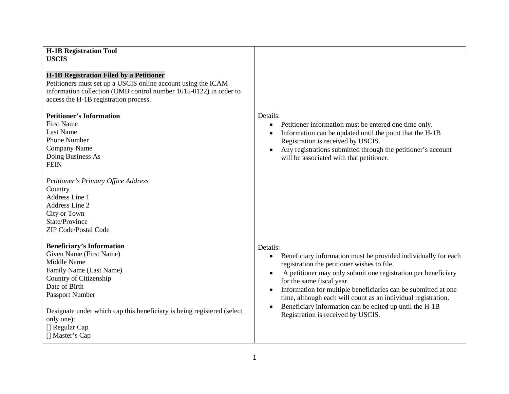| <b>H-1B Registration Tool</b><br><b>USCIS</b>                                                                                                                                                                                                                                                                                                                                                                                                                                                                                               |                                                                                                                                                                                                                                                                                                                                                                                                                                                                                                                 |
|---------------------------------------------------------------------------------------------------------------------------------------------------------------------------------------------------------------------------------------------------------------------------------------------------------------------------------------------------------------------------------------------------------------------------------------------------------------------------------------------------------------------------------------------|-----------------------------------------------------------------------------------------------------------------------------------------------------------------------------------------------------------------------------------------------------------------------------------------------------------------------------------------------------------------------------------------------------------------------------------------------------------------------------------------------------------------|
| <b>H-1B Registration Filed by a Petitioner</b><br>Petitioners must set up a USCIS online account using the ICAM<br>information collection (OMB control number 1615-0122) in order to<br>access the H-1B registration process.<br><b>Petitioner's Information</b><br><b>First Name</b><br><b>Last Name</b><br><b>Phone Number</b><br>Company Name<br>Doing Business As<br><b>FEIN</b><br>Petitioner's Primary Office Address<br>Country<br>Address Line 1<br>Address Line 2<br>City or Town<br>State/Province<br><b>ZIP Code/Postal Code</b> | Details:<br>Petitioner information must be entered one time only.<br>$\bullet$<br>Information can be updated until the point that the H-1B<br>$\bullet$<br>Registration is received by USCIS.<br>Any registrations submitted through the petitioner's account<br>will be associated with that petitioner.                                                                                                                                                                                                       |
| <b>Beneficiary's Information</b><br>Given Name (First Name)<br>Middle Name<br>Family Name (Last Name)<br>Country of Citizenship<br>Date of Birth<br>Passport Number<br>Designate under which cap this beneficiary is being registered (select<br>only one):<br>[] Regular Cap<br>[] Master's Cap                                                                                                                                                                                                                                            | Details:<br>Beneficiary information must be provided individually for each<br>$\bullet$<br>registration the petitioner wishes to file.<br>A petitioner may only submit one registration per beneficiary<br>$\bullet$<br>for the same fiscal year.<br>Information for multiple beneficiaries can be submitted at one<br>$\bullet$<br>time, although each will count as an individual registration.<br>Beneficiary information can be edited up until the H-1B<br>$\bullet$<br>Registration is received by USCIS. |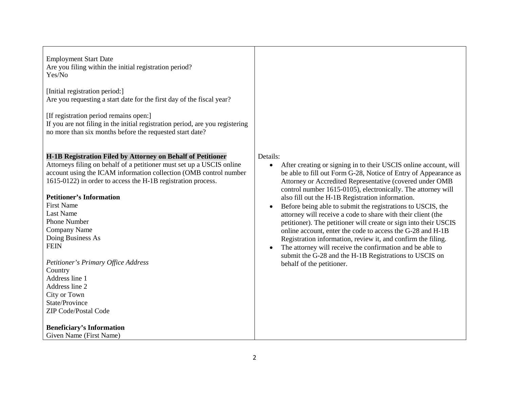Employment Start Date Are you filing within the initial registration period? Yes/No

[Initial registration period:] Are you requesting a start date for the first day of the fiscal year?

[If registration period remains open:]

If you are not filing in the initial registration period, are you registering no more than six months before the requested start date?

## **H-1B Registration Filed by Attorney on Behalf of Petitioner**

Attorneys filing on behalf of a petitioner must set up a USCIS online account using the ICAM information collection (OMB control number 1615-0122) in order to access the H-1B registration process.

## **Petitioner's Information**

First Name Last Name Phone Number Company Name Doing Business As **FEIN** 

*Petitioner's Primary Office Address* **Country** Address line 1 Address line 2 City or Town State/Province ZIP Code/Postal Code

## **Beneficiary's Information**

Given Name (First Name)

## Details:

- After creating or signing in to their USCIS online account, will be able to fill out Form G-28, Notice of Entry of Appearance as Attorney or Accredited Representative (covered under OMB control number 1615-0105), electronically. The attorney will also fill out the H-1B Registration information.
- Before being able to submit the registrations to USCIS, the attorney will receive a code to share with their client (the petitioner). The petitioner will create or sign into their USCIS online account, enter the code to access the G-28 and H-1B Registration information, review it, and confirm the filing.
- The attorney will receive the confirmation and be able to submit the G-28 and the H-1B Registrations to USCIS on behalf of the petitioner.